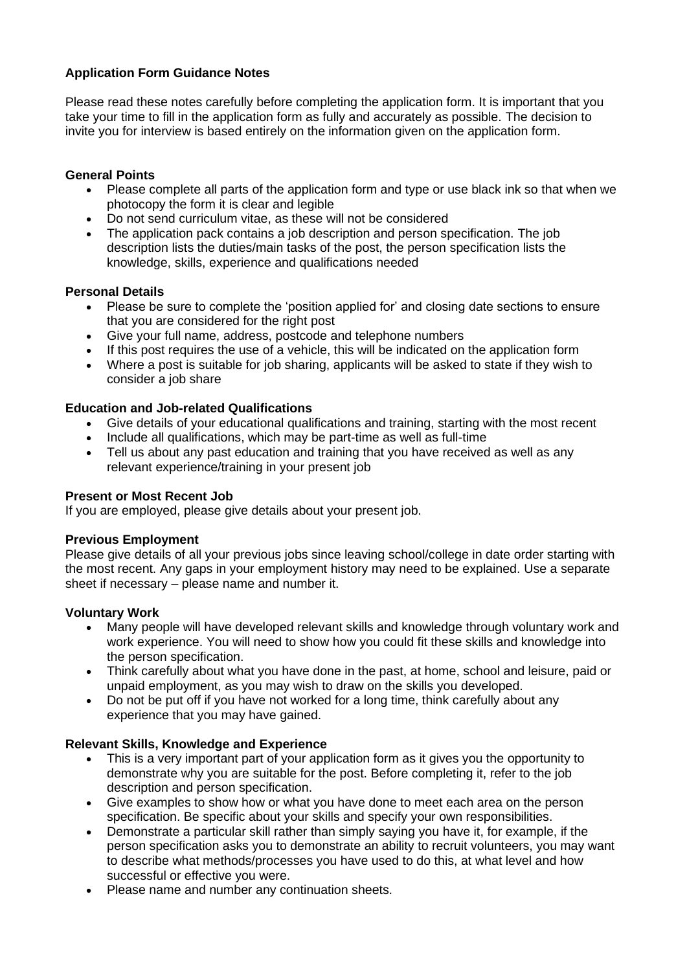# **Application Form Guidance Notes**

Please read these notes carefully before completing the application form. It is important that you take your time to fill in the application form as fully and accurately as possible. The decision to invite you for interview is based entirely on the information given on the application form.

## **General Points**

- Please complete all parts of the application form and type or use black ink so that when we photocopy the form it is clear and legible
- Do not send curriculum vitae, as these will not be considered
- The application pack contains a job description and person specification. The job description lists the duties/main tasks of the post, the person specification lists the knowledge, skills, experience and qualifications needed

### **Personal Details**

- Please be sure to complete the 'position applied for' and closing date sections to ensure that you are considered for the right post
- Give your full name, address, postcode and telephone numbers
- If this post requires the use of a vehicle, this will be indicated on the application form
- Where a post is suitable for job sharing, applicants will be asked to state if they wish to consider a job share

# **Education and Job-related Qualifications**

- Give details of your educational qualifications and training, starting with the most recent
- Include all qualifications, which may be part-time as well as full-time<br>• Tell us about any past education and training that you have received
- Tell us about any past education and training that you have received as well as any relevant experience/training in your present job

### **Present or Most Recent Job**

If you are employed, please give details about your present job.

### **Previous Employment**

Please give details of all your previous jobs since leaving school/college in date order starting with the most recent. Any gaps in your employment history may need to be explained. Use a separate sheet if necessary – please name and number it.

### **Voluntary Work**

- Many people will have developed relevant skills and knowledge through voluntary work and work experience. You will need to show how you could fit these skills and knowledge into the person specification.
- Think carefully about what you have done in the past, at home, school and leisure, paid or unpaid employment, as you may wish to draw on the skills you developed.
- Do not be put off if you have not worked for a long time, think carefully about any experience that you may have gained.

### **Relevant Skills, Knowledge and Experience**

- This is a very important part of your application form as it gives you the opportunity to demonstrate why you are suitable for the post. Before completing it, refer to the job description and person specification.
- Give examples to show how or what you have done to meet each area on the person specification. Be specific about your skills and specify your own responsibilities.
- Demonstrate a particular skill rather than simply saying you have it, for example, if the person specification asks you to demonstrate an ability to recruit volunteers, you may want to describe what methods/processes you have used to do this, at what level and how successful or effective you were.
- Please name and number any continuation sheets.